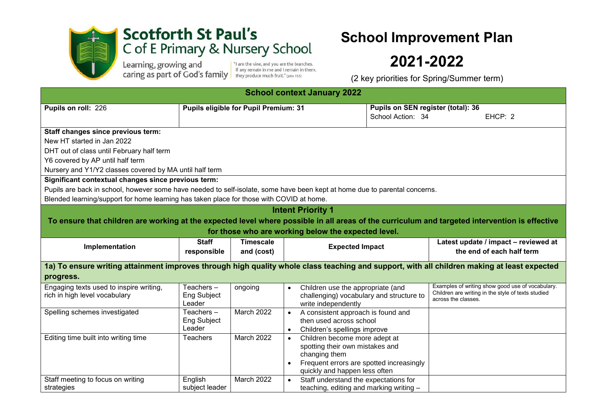

## **Scotforth St Paul's** C of E Primary & Nursery School

Learning, growing and Caring as part of God's family If any remain in me and I remain in

"I am the vine, and you are the branches.<br>If any remain in me and I remain in them,

## **School Improvement Plan**

## **2021-2022**

(2 key priorities for Spring/Summer term)

| <b>School context January 2022</b>                                                                                                                                                                                                                                            |                                              |                                |                                                                                                                                                                                          |                                                         |                                                                           |                                                                   |  |  |  |
|-------------------------------------------------------------------------------------------------------------------------------------------------------------------------------------------------------------------------------------------------------------------------------|----------------------------------------------|--------------------------------|------------------------------------------------------------------------------------------------------------------------------------------------------------------------------------------|---------------------------------------------------------|---------------------------------------------------------------------------|-------------------------------------------------------------------|--|--|--|
| Pupils on roll: 226                                                                                                                                                                                                                                                           | <b>Pupils eligible for Pupil Premium: 31</b> |                                |                                                                                                                                                                                          | Pupils on SEN register (total): 36<br>School Action: 34 |                                                                           | EHCP: 2                                                           |  |  |  |
| Staff changes since previous term:<br>New HT started in Jan 2022<br>DHT out of class until February half term<br>Y6 covered by AP until half term<br>Nursery and Y1/Y2 classes covered by MA until half term                                                                  |                                              |                                |                                                                                                                                                                                          |                                                         |                                                                           |                                                                   |  |  |  |
| Significant contextual changes since previous term:<br>Pupils are back in school, however some have needed to self-isolate, some have been kept at home due to parental concerns.<br>Blended learning/support for home learning has taken place for those with COVID at home. |                                              |                                |                                                                                                                                                                                          |                                                         |                                                                           |                                                                   |  |  |  |
| <b>Intent Priority 1</b><br>To ensure that children are working at the expected level where possible in all areas of the curriculum and targeted intervention is effective<br>for those who are working below the expected level.                                             |                                              |                                |                                                                                                                                                                                          |                                                         |                                                                           |                                                                   |  |  |  |
| Implementation                                                                                                                                                                                                                                                                | <b>Staff</b><br>responsible                  | <b>Timescale</b><br>and (cost) | <b>Expected Impact</b>                                                                                                                                                                   |                                                         |                                                                           | Latest update / impact - reviewed at<br>the end of each half term |  |  |  |
| 1a) To ensure writing attainment improves through high quality whole class teaching and support, with all children making at least expected<br>progress.                                                                                                                      |                                              |                                |                                                                                                                                                                                          |                                                         |                                                                           |                                                                   |  |  |  |
| Engaging texts used to inspire writing,<br>rich in high level vocabulary                                                                                                                                                                                                      | Teachers $-$<br>Eng Subject<br>Leader        | ongoing                        | Children use the appropriate (and<br>challenging) vocabulary and structure to<br>write independently                                                                                     |                                                         | Children are writing in the style of texts studied<br>across the classes. | Examples of writing show good use of vocabulary.                  |  |  |  |
| Spelling schemes investigated                                                                                                                                                                                                                                                 | Teachers –<br>Eng Subject<br>Leader          | March 2022                     | A consistent approach is found and<br>$\bullet$<br>then used across school<br>Children's spellings improve<br>$\bullet$                                                                  |                                                         |                                                                           |                                                                   |  |  |  |
| Editing time built into writing time                                                                                                                                                                                                                                          | Teachers                                     | March 2022                     | Children become more adept at<br>$\bullet$<br>spotting their own mistakes and<br>changing them<br>Frequent errors are spotted increasingly<br>$\bullet$<br>quickly and happen less often |                                                         |                                                                           |                                                                   |  |  |  |
| Staff meeting to focus on writing<br>strategies                                                                                                                                                                                                                               | English<br>subject leader                    | March 2022                     | Staff understand the expectations for<br>$\bullet$<br>teaching, editing and marking writing -                                                                                            |                                                         |                                                                           |                                                                   |  |  |  |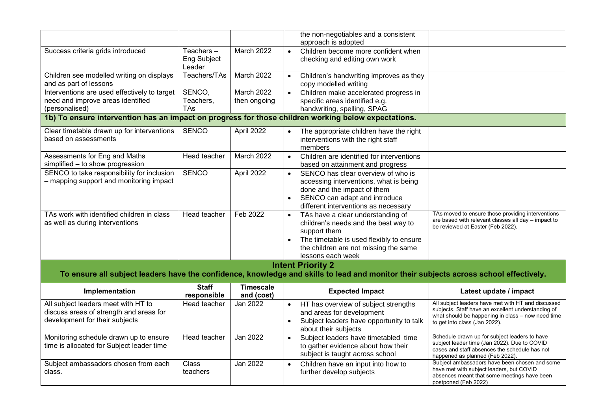|                                                                                                     |                             |                         |           | the non-negotiables and a consistent<br>approach is adopted                                                                           |                                                                                                         |  |  |  |
|-----------------------------------------------------------------------------------------------------|-----------------------------|-------------------------|-----------|---------------------------------------------------------------------------------------------------------------------------------------|---------------------------------------------------------------------------------------------------------|--|--|--|
| Success criteria grids introduced                                                                   | Teachers-                   | March 2022              | $\bullet$ | Children become more confident when                                                                                                   |                                                                                                         |  |  |  |
|                                                                                                     | Eng Subject<br>Leader       |                         |           | checking and editing own work                                                                                                         |                                                                                                         |  |  |  |
| Children see modelled writing on displays                                                           | Teachers/TAs                | March 2022              | $\bullet$ | Children's handwriting improves as they                                                                                               |                                                                                                         |  |  |  |
| and as part of lessons                                                                              |                             |                         |           | copy modelled writing                                                                                                                 |                                                                                                         |  |  |  |
| Interventions are used effectively to target                                                        | SENCO,                      | March 2022              |           | Children make accelerated progress in                                                                                                 |                                                                                                         |  |  |  |
| need and improve areas identified<br>(personalised)                                                 | Teachers,<br><b>TAs</b>     | then ongoing            |           | specific areas identified e.g.<br>handwriting, spelling, SPAG                                                                         |                                                                                                         |  |  |  |
|                                                                                                     |                             |                         |           |                                                                                                                                       |                                                                                                         |  |  |  |
| 1b) To ensure intervention has an impact on progress for those children working below expectations. |                             |                         |           |                                                                                                                                       |                                                                                                         |  |  |  |
| Clear timetable drawn up for interventions                                                          | <b>SENCO</b>                | April 2022              |           | The appropriate children have the right                                                                                               |                                                                                                         |  |  |  |
| based on assessments                                                                                |                             |                         |           | interventions with the right staff                                                                                                    |                                                                                                         |  |  |  |
|                                                                                                     |                             |                         |           | members                                                                                                                               |                                                                                                         |  |  |  |
| Assessments for Eng and Maths                                                                       | Head teacher                | March 2022              | $\bullet$ | Children are identified for interventions                                                                                             |                                                                                                         |  |  |  |
| simplified - to show progression                                                                    |                             |                         |           | based on attainment and progress                                                                                                      |                                                                                                         |  |  |  |
| SENCO to take responsibility for inclusion                                                          | <b>SENCO</b>                | April 2022              | $\bullet$ | SENCO has clear overview of who is                                                                                                    |                                                                                                         |  |  |  |
| - mapping support and monitoring impact                                                             |                             |                         |           | accessing interventions, what is being                                                                                                |                                                                                                         |  |  |  |
|                                                                                                     |                             |                         |           | done and the impact of them                                                                                                           |                                                                                                         |  |  |  |
|                                                                                                     |                             |                         | $\bullet$ | SENCO can adapt and introduce                                                                                                         |                                                                                                         |  |  |  |
| TAs work with identified children in class                                                          | Head teacher                | Feb 2022                |           | different interventions as necessary                                                                                                  | TAs moved to ensure those providing interventions                                                       |  |  |  |
| as well as during interventions                                                                     |                             |                         | $\bullet$ | TAs have a clear understanding of<br>children's needs and the best way to                                                             | are based with relevant classes all day - impact to                                                     |  |  |  |
|                                                                                                     |                             |                         |           | support them                                                                                                                          | be reviewed at Easter (Feb 2022).                                                                       |  |  |  |
|                                                                                                     |                             |                         |           | The timetable is used flexibly to ensure                                                                                              |                                                                                                         |  |  |  |
|                                                                                                     |                             |                         |           | the children are not missing the same                                                                                                 |                                                                                                         |  |  |  |
|                                                                                                     |                             |                         |           | lessons each week                                                                                                                     |                                                                                                         |  |  |  |
|                                                                                                     |                             |                         |           | <b>Intent Priority 2</b>                                                                                                              |                                                                                                         |  |  |  |
|                                                                                                     |                             |                         |           | To ensure all subject leaders have the confidence, knowledge and skills to lead and monitor their subjects across school effectively. |                                                                                                         |  |  |  |
|                                                                                                     |                             |                         |           |                                                                                                                                       |                                                                                                         |  |  |  |
| Implementation                                                                                      | <b>Staff</b><br>responsible | Timescale<br>and (cost) |           | <b>Expected Impact</b>                                                                                                                | Latest update / impact                                                                                  |  |  |  |
| All subject leaders meet with HT to                                                                 | Head teacher                | Jan 2022                | $\bullet$ | HT has overview of subject strengths                                                                                                  | All subject leaders have met with HT and discussed                                                      |  |  |  |
| discuss areas of strength and areas for                                                             |                             |                         |           | and areas for development                                                                                                             | subjects. Staff have an excellent understanding of<br>what should be happening in class - now need time |  |  |  |
| development for their subjects                                                                      |                             |                         | $\bullet$ | Subject leaders have opportunity to talk                                                                                              | to get into class (Jan 2022).                                                                           |  |  |  |
|                                                                                                     |                             |                         |           | about their subjects                                                                                                                  |                                                                                                         |  |  |  |
| Monitoring schedule drawn up to ensure                                                              | Head teacher                | Jan 2022                | $\bullet$ | Subject leaders have timetabled time                                                                                                  | Schedule drawn up for subject leaders to have<br>subject leader time (Jan 2022). Due to COVID           |  |  |  |
| time is allocated for Subject leader time                                                           |                             |                         |           | to gather evidence about how their                                                                                                    | cases and staff absences the schedule has not                                                           |  |  |  |
|                                                                                                     |                             |                         |           | subject is taught across school                                                                                                       | happened as planned (Feb 2022).                                                                         |  |  |  |
| Subject ambassadors chosen from each                                                                | Class                       | Jan 2022                | $\bullet$ | Children have an input into how to                                                                                                    | Subject ambassadors have been chosen and some                                                           |  |  |  |
|                                                                                                     |                             |                         |           |                                                                                                                                       |                                                                                                         |  |  |  |
| class.                                                                                              | teachers                    |                         |           | further develop subjects                                                                                                              | have met with subject leaders, but COVID<br>absences meant that some meetings have been                 |  |  |  |